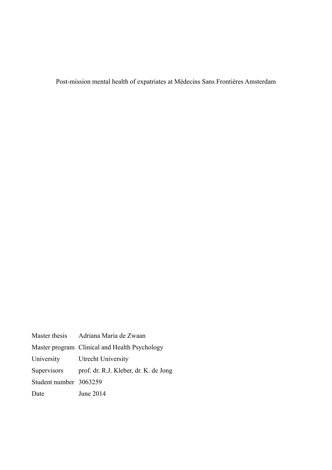Post-mission mental health of expatriates at Médecins Sans Frontières Amsterdam

| Master thesis          | Adriana Maria de Zwaan                        |
|------------------------|-----------------------------------------------|
|                        | Master program Clinical and Health Psychology |
| University             | Utrecht University                            |
| Supervisors            | prof. dr. R.J. Kleber, dr. K. de Jong         |
| Student number 3063259 |                                               |
| Date                   | June 2014                                     |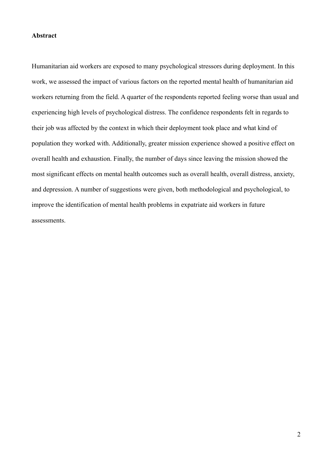### **Abstract**

Humanitarian aid workers are exposed to many psychological stressors during deployment. In this work, we assessed the impact of various factors on the reported mental health of humanitarian aid workers returning from the field. A quarter of the respondents reported feeling worse than usual and experiencing high levels of psychological distress. The confidence respondents felt in regards to their job was affected by the context in which their deployment took place and what kind of population they worked with. Additionally, greater mission experience showed a positive effect on overall health and exhaustion. Finally, the number of days since leaving the mission showed the most significant effects on mental health outcomes such as overall health, overall distress, anxiety, and depression. A number of suggestions were given, both methodological and psychological, to improve the identification of mental health problems in expatriate aid workers in future assessments.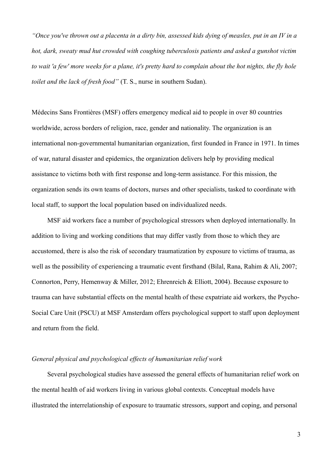*"Once you've thrown out a placenta in a dirty bin, assessed kids dying of measles, put in an IV in a hot, dark, sweaty mud hut crowded with coughing tuberculosis patients and asked a gunshot victim to wait 'a few' more weeks for a plane, it's pretty hard to complain about the hot nights, the fly hole toilet and the lack of fresh food"* (T. S., nurse in southern Sudan).

Médecins Sans Frontières (MSF) offers emergency medical aid to people in over 80 countries worldwide, across borders of religion, race, gender and nationality. The organization is an international non-governmental humanitarian organization, first founded in France in 1971. In times of war, natural disaster and epidemics, the organization delivers help by providing medical assistance to victims both with first response and long-term assistance. For this mission, the organization sends its own teams of doctors, nurses and other specialists, tasked to coordinate with local staff, to support the local population based on individualized needs.

MSF aid workers face a number of psychological stressors when deployed internationally. In addition to living and working conditions that may differ vastly from those to which they are accustomed, there is also the risk of secondary traumatization by exposure to victims of trauma, as well as the possibility of experiencing a traumatic event firsthand (Bilal, Rana, Rahim & Ali, 2007; Connorton, Perry, Hemenway & Miller, 2012; Ehrenreich & Elliott, 2004). Because exposure to trauma can have substantial effects on the mental health of these expatriate aid workers, the Psycho-Social Care Unit (PSCU) at MSF Amsterdam offers psychological support to staff upon deployment and return from the field.

## *General physical and psychological effects of humanitarian relief work*

Several psychological studies have assessed the general effects of humanitarian relief work on the mental health of aid workers living in various global contexts. Conceptual models have illustrated the interrelationship of exposure to traumatic stressors, support and coping, and personal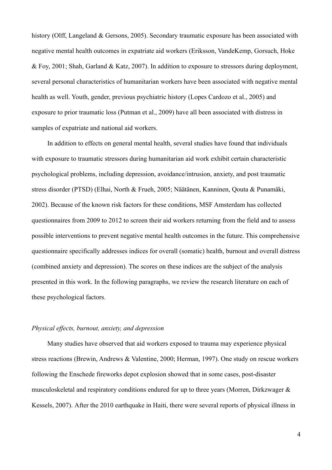history (Olff, Langeland & Gersons, 2005). Secondary traumatic exposure has been associated with negative mental health outcomes in expatriate aid workers (Eriksson, VandeKemp, Gorsuch, Hoke & Foy, 2001; Shah, Garland & Katz, 2007). In addition to exposure to stressors during deployment, several personal characteristics of humanitarian workers have been associated with negative mental health as well. Youth, gender, previous psychiatric history (Lopes Cardozo et al., 2005) and exposure to prior traumatic loss (Putman et al., 2009) have all been associated with distress in samples of expatriate and national aid workers.

In addition to effects on general mental health, several studies have found that individuals with exposure to traumatic stressors during humanitarian aid work exhibit certain characteristic psychological problems, including depression, avoidance/intrusion, anxiety, and post traumatic stress disorder (PTSD) (Elhai, North & Frueh, 2005; Näätänen, Kanninen, Qouta & Punamäki, 2002). Because of the known risk factors for these conditions, MSF Amsterdam has collected questionnaires from 2009 to 2012 to screen their aid workers returning from the field and to assess possible interventions to prevent negative mental health outcomes in the future. This comprehensive questionnaire specifically addresses indices for overall (somatic) health, burnout and overall distress (combined anxiety and depression). The scores on these indices are the subject of the analysis presented in this work. In the following paragraphs, we review the research literature on each of these psychological factors.

## *Physical effects, burnout, anxiety, and depression*

Many studies have observed that aid workers exposed to trauma may experience physical stress reactions (Brewin, Andrews & Valentine, 2000; Herman, 1997). One study on rescue workers following the Enschede fireworks depot explosion showed that in some cases, post-disaster musculoskeletal and respiratory conditions endured for up to three years (Morren, Dirkzwager & Kessels, 2007). After the 2010 earthquake in Haiti, there were several reports of physical illness in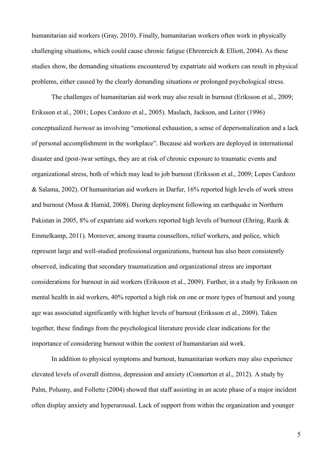humanitarian aid workers (Gray, 2010). Finally, humanitarian workers often work in physically challenging situations, which could cause chronic fatigue (Ehrenreich  $\&$  Elliott, 2004). As these studies show, the demanding situations encountered by expatriate aid workers can result in physical problems, either caused by the clearly demanding situations or prolonged psychological stress.

The challenges of humanitarian aid work may also result in burnout (Eriksson et al., 2009; Eriksson et al., 2001; Lopes Cardozo et al., 2005). Maslach, Jackson, and Leiter (1996) conceptualized *burnout* as involving "emotional exhaustion, a sense of depersonalization and a lack of personal accomplishment in the workplace". Because aid workers are deployed in international disaster and (post-)war settings, they are at risk of chronic exposure to traumatic events and organizational stress, both of which may lead to job burnout (Eriksson et al., 2009; Lopes Cardozo & Salama, 2002). Of humanitarian aid workers in Darfur, 16% reported high levels of work stress and burnout (Musa  $\&$  Hamid, 2008). During deployment following an earthquake in Northern Pakistan in 2005, 8% of expatriate aid workers reported high levels of burnout (Ehring, Razik & Emmelkamp, 2011). Moreover, among trauma counsellors, relief workers, and police, which represent large and well-studied professional organizations, burnout has also been consistently observed, indicating that secondary traumatization and organizational stress are important considerations for burnout in aid workers (Eriksson et al., 2009). Further, in a study by Eriksson on mental health in aid workers, 40% reported a high risk on one or more types of burnout and young age was associated significantly with higher levels of burnout (Eriksson et al., 2009). Taken together, these findings from the psychological literature provide clear indications for the importance of considering burnout within the context of humanitarian aid work.

In addition to physical symptoms and burnout, humanitarian workers may also experience elevated levels of overall distress, depression and anxiety (Connorton et al., 2012). A study by Palm, Polusny, and Follette (2004) showed that staff assisting in an acute phase of a major incident often display anxiety and hyperarousal. Lack of support from within the organization and younger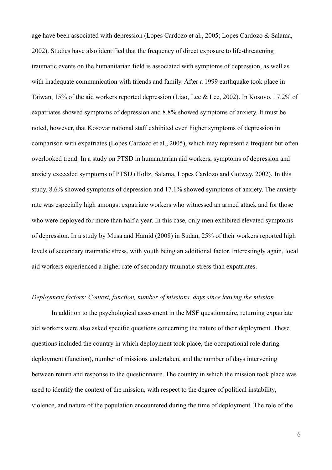age have been associated with depression (Lopes Cardozo et al., 2005; Lopes Cardozo & Salama, 2002). Studies have also identified that the frequency of direct exposure to life-threatening traumatic events on the humanitarian field is associated with symptoms of depression, as well as with inadequate communication with friends and family. After a 1999 earthquake took place in Taiwan, 15% of the aid workers reported depression (Liao, Lee & Lee, 2002). In Kosovo, 17.2% of expatriates showed symptoms of depression and 8.8% showed symptoms of anxiety. It must be noted, however, that Kosovar national staff exhibited even higher symptoms of depression in comparison with expatriates (Lopes Cardozo et al., 2005), which may represent a frequent but often overlooked trend. In a study on PTSD in humanitarian aid workers, symptoms of depression and anxiety exceeded symptoms of PTSD (Holtz, Salama, Lopes Cardozo and Gotway, 2002). In this study, 8.6% showed symptoms of depression and 17.1% showed symptoms of anxiety. The anxiety rate was especially high amongst expatriate workers who witnessed an armed attack and for those who were deployed for more than half a year. In this case, only men exhibited elevated symptoms of depression. In a study by Musa and Hamid (2008) in Sudan, 25% of their workers reported high levels of secondary traumatic stress, with youth being an additional factor. Interestingly again, local aid workers experienced a higher rate of secondary traumatic stress than expatriates*.*

# *Deployment factors: Context, function, number of missions, days since leaving the mission*

In addition to the psychological assessment in the MSF questionnaire, returning expatriate aid workers were also asked specific questions concerning the nature of their deployment. These questions included the country in which deployment took place, the occupational role during deployment (function), number of missions undertaken, and the number of days intervening between return and response to the questionnaire. The country in which the mission took place was used to identify the context of the mission, with respect to the degree of political instability, violence, and nature of the population encountered during the time of deployment. The role of the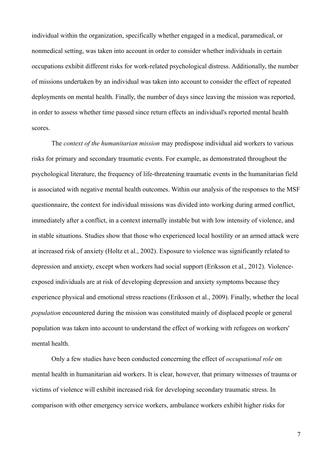individual within the organization, specifically whether engaged in a medical, paramedical, or nonmedical setting, was taken into account in order to consider whether individuals in certain occupations exhibit different risks for work-related psychological distress. Additionally, the number of missions undertaken by an individual was taken into account to consider the effect of repeated deployments on mental health. Finally, the number of days since leaving the mission was reported, in order to assess whether time passed since return effects an individual's reported mental health scores.

The *context of the humanitarian mission* may predispose individual aid workers to various risks for primary and secondary traumatic events. For example, as demonstrated throughout the psychological literature, the frequency of life-threatening traumatic events in the humanitarian field is associated with negative mental health outcomes. Within our analysis of the responses to the MSF questionnaire, the context for individual missions was divided into working during armed conflict, immediately after a conflict, in a context internally instable but with low intensity of violence, and in stable situations. Studies show that those who experienced local hostility or an armed attack were at increased risk of anxiety (Holtz et al., 2002). Exposure to violence was significantly related to depression and anxiety, except when workers had social support (Eriksson et al., 2012). Violenceexposed individuals are at risk of developing depression and anxiety symptoms because they experience physical and emotional stress reactions (Eriksson et al., 2009). Finally, whether the local *population* encountered during the mission was constituted mainly of displaced people or general population was taken into account to understand the effect of working with refugees on workers' mental health.

Only a few studies have been conducted concerning the effect of *occupational role* on mental health in humanitarian aid workers. It is clear, however, that primary witnesses of trauma or victims of violence will exhibit increased risk for developing secondary traumatic stress. In comparison with other emergency service workers, ambulance workers exhibit higher risks for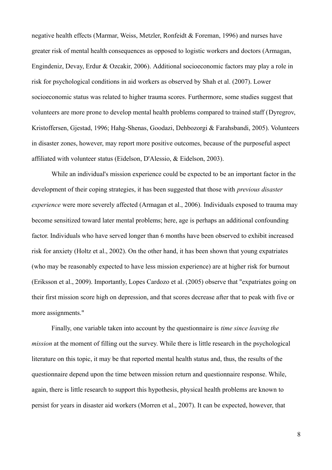negative health effects (Marmar, Weiss, Metzler, Ronfeidt & Foreman, 1996) and nurses have greater risk of mental health consequences as opposed to logistic workers and doctors (Armagan, Engindeniz, Devay, Erdur & Ozcakir, 2006). Additional socioeconomic factors may play a role in risk for psychological conditions in aid workers as observed by Shah et al. (2007). Lower socioeconomic status was related to higher trauma scores. Furthermore, some studies suggest that volunteers are more prone to develop mental health problems compared to trained staff (Dyregrov, Kristoffersen, Gjestad, 1996; Hahg-Shenas, Goodazi, Dehbozorgi & Farahsbandi, 2005). Volunteers in disaster zones, however, may report more positive outcomes, because of the purposeful aspect affiliated with volunteer status (Eidelson, D'Alessio, & Eidelson, 2003).

While an individual's mission experience could be expected to be an important factor in the development of their coping strategies, it has been suggested that those with *previous disaster experience* were more severely affected (Armagan et al., 2006)*.* Individuals exposed to trauma may become sensitized toward later mental problems; here, age is perhaps an additional confounding factor. Individuals who have served longer than 6 months have been observed to exhibit increased risk for anxiety (Holtz et al., 2002). On the other hand, it has been shown that young expatriates (who may be reasonably expected to have less mission experience) are at higher risk for burnout (Eriksson et al., 2009). Importantly, Lopes Cardozo et al. (2005) observe that "expatriates going on their first mission score high on depression, and that scores decrease after that to peak with five or more assignments."

Finally, one variable taken into account by the questionnaire is *time since leaving the mission* at the moment of filling out the survey. While there is little research in the psychological literature on this topic, it may be that reported mental health status and, thus, the results of the questionnaire depend upon the time between mission return and questionnaire response. While, again, there is little research to support this hypothesis, physical health problems are known to persist for years in disaster aid workers (Morren et al., 2007). It can be expected, however, that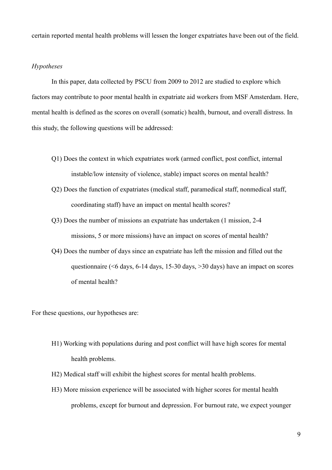certain reported mental health problems will lessen the longer expatriates have been out of the field.

# *Hypotheses*

In this paper, data collected by PSCU from 2009 to 2012 are studied to explore which factors may contribute to poor mental health in expatriate aid workers from MSF Amsterdam. Here, mental health is defined as the scores on overall (somatic) health, burnout, and overall distress. In this study, the following questions will be addressed:

- Q1) Does the context in which expatriates work (armed conflict, post conflict, internal instable/low intensity of violence, stable) impact scores on mental health?
- Q2) Does the function of expatriates (medical staff, paramedical staff, nonmedical staff, coordinating staff) have an impact on mental health scores?
- Q3) Does the number of missions an expatriate has undertaken (1 mission, 2-4 missions, 5 or more missions) have an impact on scores of mental health?
- Q4) Does the number of days since an expatriate has left the mission and filled out the questionnaire (<6 days, 6-14 days, 15-30 days, >30 days) have an impact on scores of mental health?

For these questions, our hypotheses are:

- H1) Working with populations during and post conflict will have high scores for mental health problems.
- H2) Medical staff will exhibit the highest scores for mental health problems.
- H3) More mission experience will be associated with higher scores for mental health problems, except for burnout and depression. For burnout rate, we expect younger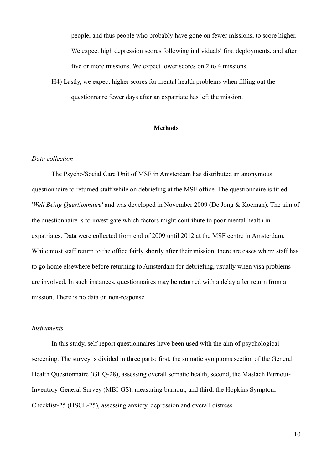people, and thus people who probably have gone on fewer missions, to score higher. We expect high depression scores following individuals' first deployments, and after five or more missions. We expect lower scores on 2 to 4 missions.

H4) Lastly, we expect higher scores for mental health problems when filling out the questionnaire fewer days after an expatriate has left the mission.

## **Methods**

#### *Data collection*

The Psycho/Social Care Unit of MSF in Amsterdam has distributed an anonymous questionnaire to returned staff while on debriefing at the MSF office. The questionnaire is titled '*Well Being Questionnaire'* and was developed in November 2009 (De Jong & Koeman). The aim of the questionnaire is to investigate which factors might contribute to poor mental health in expatriates. Data were collected from end of 2009 until 2012 at the MSF centre in Amsterdam. While most staff return to the office fairly shortly after their mission, there are cases where staff has to go home elsewhere before returning to Amsterdam for debriefing, usually when visa problems are involved. In such instances, questionnaires may be returned with a delay after return from a mission. There is no data on non-response.

### *Instruments*

In this study, self-report questionnaires have been used with the aim of psychological screening. The survey is divided in three parts: first, the somatic symptoms section of the General Health Questionnaire (GHQ-28), assessing overall somatic health, second, the Maslach Burnout-Inventory-General Survey (MBI-GS), measuring burnout, and third, the Hopkins Symptom Checklist-25 (HSCL-25), assessing anxiety, depression and overall distress.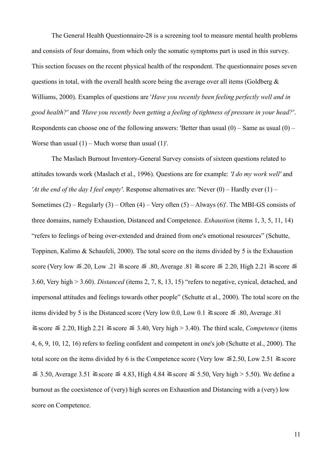The General Health Questionnaire-28 is a screening tool to measure mental health problems and consists of four domains, from which only the somatic symptoms part is used in this survey. This section focuses on the recent physical health of the respondent. The questionnaire poses seven questions in total, with the overall health score being the average over all items (Goldberg  $\&$ Williams, 2000). Examples of questions are '*Have you recently been feeling perfectly well and in good health?'* and *'Have you recently been getting a feeling of tightness of pressure in your head?'*. Respondents can choose one of the following answers: 'Better than usual  $(0)$  – Same as usual  $(0)$  – Worse than usual  $(1)$  – Much worse than usual  $(1)'$ .

The Maslach Burnout Inventory-General Survey consists of sixteen questions related to attitudes towards work (Maslach et al., 1996). Questions are for example: *'I do my work well'* and *'At the end of the day I feel empty'*. Response alternatives are: 'Never (0) – Hardly ever (1) – Sometimes  $(2)$  – Regularly  $(3)$  – Often  $(4)$  – Very often  $(5)$  – Always  $(6)'$ . The MBI-GS consists of three domains, namely Exhaustion, Distanced and Competence. *Exhaustion* (items 1, 3, 5, 11, 14) "refers to feelings of being over-extended and drained from one's emotional resources" (Schutte, Toppinen, Kalimo & Schaufeli, 2000). The total score on the items divided by 5 is the Exhaustion score (Very low  $\leq 20$ , Low .21  $\geq$  score  $\leq 0.80$ , Average .81  $\geq$  score  $\leq 2.20$ , High 2.21  $\geq$  score  $\leq$ 3.60, Very high > 3.60). *Distanced* (items 2, 7, 8, 13, 15) "refers to negative, cynical, detached, and impersonal attitudes and feelings towards other people" (Schutte et al., 2000). The total score on the items divided by 5 is the Distanced score (Very low 0.0, Low 0.1  $\geq$  score  $\leq$  .80, Average .81  $\geq$  score  $\leq$  2.20, High 2.21  $\geq$  score  $\leq$  3.40, Very high > 3.40). The third scale, *Competence* (items 4, 6, 9, 10, 12, 16) refers to feeling confident and competent in one's job (Schutte et al., 2000). The total score on the items divided by 6 is the Competence score (Very low  $\leq 2.50$ , Low 2.51  $\geq$  score  $\leq$  3.50, Average 3.51  $\geq$  score  $\leq$  4.83, High 4.84  $\geq$  score  $\leq$  5.50, Very high > 5.50). We define a burnout as the coexistence of (very) high scores on Exhaustion and Distancing with a (very) low score on Competence.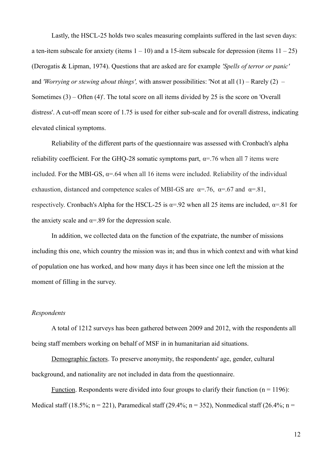Lastly, the HSCL-25 holds two scales measuring complaints suffered in the last seven days: a ten-item subscale for anxiety (items  $1 - 10$ ) and a 15-item subscale for depression (items  $11 - 25$ ) (Derogatis & Lipman, 1974). Questions that are asked are for example *'Spells of terror or panic'*  and *'Worrying or stewing about things',* with answer possibilities: 'Not at all (1) – Rarely (2) – Sometimes (3) – Often (4)'. The total score on all items divided by 25 is the score on 'Overall distress'. A cut-off mean score of 1.75 is used for either sub-scale and for overall distress, indicating elevated clinical symptoms.

Reliability of the different parts of the questionnaire was assessed with Cronbach's alpha reliability coefficient. For the GHQ-28 somatic symptoms part,  $\alpha$ =.76 when all 7 items were included. For the MBI-GS,  $\alpha$ =.64 when all 16 items were included. Reliability of the individual exhaustion, distanced and competence scales of MBI-GS are  $\alpha$ =.76,  $\alpha$ =.67 and  $\alpha$ =.81, respectively. Cronbach's Alpha for the HSCL-25 is  $\alpha$ =.92 when all 25 items are included,  $\alpha$ =.81 for the anxiety scale and  $\alpha$ =.89 for the depression scale.

In addition, we collected data on the function of the expatriate, the number of missions including this one, which country the mission was in; and thus in which context and with what kind of population one has worked, and how many days it has been since one left the mission at the moment of filling in the survey.

#### *Respondents*

A total of 1212 surveys has been gathered between 2009 and 2012, with the respondents all being staff members working on behalf of MSF in in humanitarian aid situations.

Demographic factors. To preserve anonymity, the respondents' age, gender, cultural background, and nationality are not included in data from the questionnaire.

Function. Respondents were divided into four groups to clarify their function ( $n = 1196$ ): Medical staff (18.5%; n = 221), Paramedical staff (29.4%; n = 352), Nonmedical staff (26.4%; n =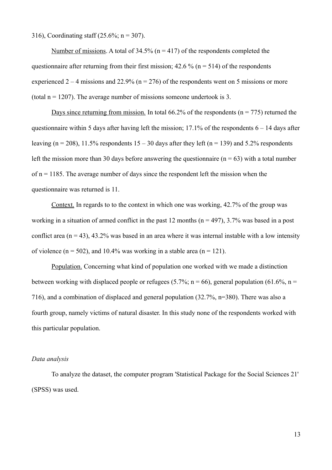316), Coordinating staff (25.6%; n = 307).

Number of missions. A total of  $34.5\%$  (n = 417) of the respondents completed the questionnaire after returning from their first mission;  $42.6\%$  (n = 514) of the respondents experienced  $2 - 4$  missions and  $22.9\%$  (n = 276) of the respondents went on 5 missions or more (total  $n = 1207$ ). The average number of missions someone undertook is 3.

Days since returning from mission. In total 66.2% of the respondents ( $n = 775$ ) returned the questionnaire within 5 days after having left the mission;  $17.1\%$  of the respondents  $6 - 14$  days after leaving (n = 208), 11.5% respondents  $15 - 30$  days after they left (n = 139) and 5.2% respondents left the mission more than 30 days before answering the questionnaire ( $n = 63$ ) with a total number of  $n = 1185$ . The average number of days since the respondent left the mission when the questionnaire was returned is 11.

Context. In regards to to the context in which one was working, 42.7% of the group was working in a situation of armed conflict in the past 12 months ( $n = 497$ ), 3.7% was based in a post conflict area  $(n = 43)$ , 43.2% was based in an area where it was internal instable with a low intensity of violence ( $n = 502$ ), and 10.4% was working in a stable area ( $n = 121$ ).

Population. Concerning what kind of population one worked with we made a distinction between working with displaced people or refugees (5.7%; n = 66), general population (61.6%, n = 716), and a combination of displaced and general population (32.7%, n=380). There was also a fourth group, namely victims of natural disaster. In this study none of the respondents worked with this particular population.

#### *Data analysis*

To analyze the dataset, the computer program 'Statistical Package for the Social Sciences 21' (SPSS) was used.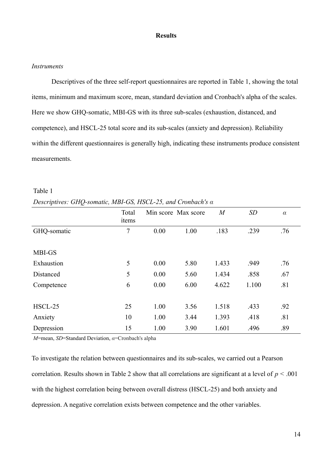### **Results**

### *Instruments*

Descriptives of the three self-report questionnaires are reported in Table 1, showing the total items, minimum and maximum score, mean, standard deviation and Cronbach's alpha of the scales. Here we show GHQ-somatic, MBI-GS with its three sub-scales (exhaustion, distanced, and competence), and HSCL-25 total score and its sub-scales (anxiety and depression). Reliability within the different questionnaires is generally high, indicating these instruments produce consistent measurements.

| Descriptives. $0.11Q$ -somanc, mDI-05, HSCL-25, and Cronouch's $\alpha$ | Total<br>items |      | Min score Max score | $\boldsymbol{M}$ | SD    | $\alpha$ |
|-------------------------------------------------------------------------|----------------|------|---------------------|------------------|-------|----------|
| GHQ-somatic                                                             | 7              | 0.00 | 1.00                | .183             | .239  | .76      |
| MBI-GS                                                                  |                |      |                     |                  |       |          |
| Exhaustion                                                              | 5              | 0.00 | 5.80                | 1.433            | .949  | .76      |
| Distanced                                                               | 5              | 0.00 | 5.60                | 1.434            | .858  | .67      |
| Competence                                                              | 6              | 0.00 | 6.00                | 4.622            | 1.100 | .81      |
|                                                                         |                |      |                     |                  |       |          |
| HSCL-25                                                                 | 25             | 1.00 | 3.56                | 1.518            | .433  | .92      |
| Anxiety                                                                 | 10             | 1.00 | 3.44                | 1.393            | .418  | .81      |
| Depression                                                              | 15             | 1.00 | 3.90                | 1.601            | .496  | .89      |

Table 1 *Descriptives: GHQ-somatic, MBI-GS, HSCL-25, and Cronbach's α*

*M*=mean, *SD*=Standard Deviation, *α*=Cronbach's alpha

To investigate the relation between questionnaires and its sub-scales, we carried out a Pearson correlation. Results shown in Table 2 show that all correlations are significant at a level of *p <* .001 with the highest correlation being between overall distress (HSCL-25) and both anxiety and depression. A negative correlation exists between competence and the other variables.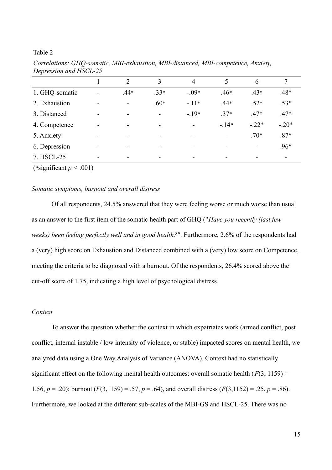Table 2

| $\mathbf{I}$   |                          |                          |                          |                |        |         |                          |
|----------------|--------------------------|--------------------------|--------------------------|----------------|--------|---------|--------------------------|
|                |                          | 2                        | 3                        | $\overline{4}$ | 5      | 6       | 7                        |
| 1. GHQ-somatic | $\overline{\phantom{a}}$ | $.44*$                   | $.33*$                   | $-.09*$        | $.46*$ | $.43*$  | $.48*$                   |
| 2. Exhaustion  | $\blacksquare$           | $\overline{\phantom{a}}$ | $.60*$                   | $-11*$         | $.44*$ | $.52*$  | $.53*$                   |
| 3. Distanced   | $\overline{\phantom{a}}$ |                          | $\overline{\phantom{a}}$ | $-19*$         | $.37*$ | $.47*$  | $.47*$                   |
| 4. Competence  | $\overline{\phantom{0}}$ |                          | -                        | -              | $-14*$ | $-.22*$ | $-.20*$                  |
| 5. Anxiety     | $\overline{\phantom{0}}$ |                          | -                        |                |        | $.70*$  | $.87*$                   |
| 6. Depression  | $\overline{\phantom{0}}$ |                          | $\overline{\phantom{a}}$ |                |        | -       | .96*                     |
| 7. HSCL-25     | $\overline{\phantom{0}}$ |                          | $\overline{\phantom{0}}$ |                |        | -       | $\overline{\phantom{a}}$ |

*Correlations: GHQ-somatic, MBI-exhaustion, MBI-distanced, MBI-competence, Anxiety, Depression and HSCL-25*

(\*significant  $p < .001$ )

### *Somatic symptoms, burnout and overall distress*

Of all respondents, 24.5% answered that they were feeling worse or much worse than usual as an answer to the first item of the somatic health part of GHQ ("*Have you recently (last few weeks) been feeling perfectly well and in good health?"*. Furthermore, 2.6% of the respondents had a (very) high score on Exhaustion and Distanced combined with a (very) low score on Competence, meeting the criteria to be diagnosed with a burnout. Of the respondents, 26.4% scored above the cut-off score of 1.75, indicating a high level of psychological distress.

### *Context*

To answer the question whether the context in which expatriates work (armed conflict, post conflict, internal instable / low intensity of violence, or stable) impacted scores on mental health, we analyzed data using a One Way Analysis of Variance (ANOVA). Context had no statistically significant effect on the following mental health outcomes: overall somatic health  $(F(3, 1159))$  = 1.56,  $p = 0.20$ ; burnout  $(F(3,1159) = 0.57, p = 0.64)$ , and overall distress  $(F(3,1152) = 0.25, p = 0.86)$ . Furthermore, we looked at the different sub-scales of the MBI-GS and HSCL-25. There was no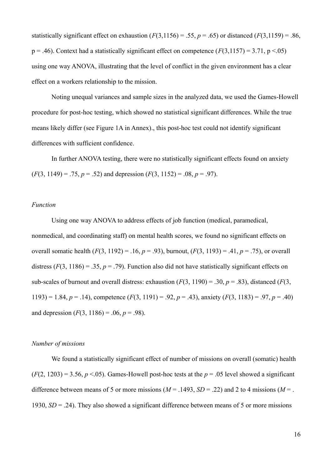statistically significant effect on exhaustion  $(F(3,1156) = .55, p = .65)$  or distanced  $(F(3,1159) = .86,$  $p = .46$ ). Context had a statistically significant effect on competence ( $F(3,1157) = 3.71$ ,  $p < .05$ ) using one way ANOVA, illustrating that the level of conflict in the given environment has a clear effect on a workers relationship to the mission.

Noting unequal variances and sample sizes in the analyzed data, we used the Games-Howell procedure for post-hoc testing, which showed no statistical significant differences. While the true means likely differ (see Figure 1A in Annex)., this post-hoc test could not identify significant differences with sufficient confidence.

In further ANOVA testing, there were no statistically significant effects found on anxiety  $(F(3, 1149) = .75, p = .52)$  and depression  $(F(3, 1152) = .08, p = .97)$ .

#### *Function*

Using one way ANOVA to address effects of job function (medical, paramedical, nonmedical, and coordinating staff) on mental health scores, we found no significant effects on overall somatic health (*F*(3, 1192) = .16, *p* = .93), burnout, (*F*(3, 1193) = .41, *p* = .75), or overall distress  $(F(3, 1186) = .35, p = .79)$ . Function also did not have statistically significant effects on sub-scales of burnout and overall distress: exhaustion  $(F(3, 1190) = .30, p = .83)$ , distanced  $(F(3, 1190))$ 1193) = 1.84,  $p = .14$ ), competence  $(F(3, 1191) = .92, p = .43)$ , anxiety  $(F(3, 1183) = .97, p = .40)$ and depression  $(F(3, 1186) = .06, p = .98)$ .

### *Number of missions*

We found a statistically significant effect of number of missions on overall (somatic) health  $(F(2, 1203) = 3.56, p < .05)$ . Games-Howell post-hoc tests at the  $p = .05$  level showed a significant difference between means of 5 or more missions ( $M = .1493$ ,  $SD = .22$ ) and 2 to 4 missions ( $M = .$ 1930, *SD* = .24). They also showed a significant difference between means of 5 or more missions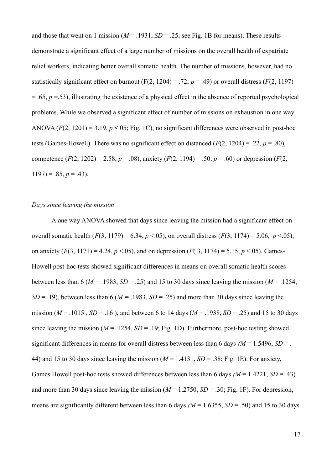and those that went on 1 mission ( $M = 0.1931$ ,  $SD = 0.25$ ; see Fig. 1B for means). These results demonstrate a significant effect of a large number of missions on the overall health of expatriate relief workers, indicating better overall somatic health. The number of missions, however, had no statistically significant effect on burnout (F(2, 1204) = .72,  $p = .49$ ) or overall distress (*F*(2, 1197)  $= .65, p = .53$ ), illustrating the existence of a physical effect in the absence of reported psychological problems. While we observed a significant effect of number of missions on exhaustion in one way ANOVA  $(F(2, 1201) = 3.19, p < 0.05$ ; Fig. 1C), no significant differences were observed in post-hoc tests (Games-Howell). There was no significant effect on distanced  $(F(2, 1204) = .22, p = .80)$ , competence  $(F(2, 1202) = 2.58, p = .08)$ , anxiety  $(F(2, 1194) = .50, p = .60)$  or depression  $(F(2, 1202) = 2.58, p = .08)$  $1197$ ) = .85,  $p = .43$ ).

## *Days since leaving the mission*

A one way ANOVA showed that days since leaving the mission had a significant effect on overall somatic health  $(F(3, 1179) = 6.34, p < .05)$ , on overall distress  $(F(3, 1174) = 5.06, p < .05)$ , on anxiety  $(F(3, 1171) = 4.24, p < .05)$ , and on depression  $(F(3, 1174) = 5.15, p < .05)$ . Games-Howell post-hoc tests showed significant differences in means on overall somatic health scores between less than 6 ( $M = 0.1983$ ,  $SD = 0.25$ ) and 15 to 30 days since leaving the mission ( $M = 0.1254$ , *SD* = .19), between less than 6 ( $M = 0.1983$ , *SD* = .25) and more than 30 days since leaving the mission ( $M = .1015$ ,  $SD = .16$ ), and between 6 to 14 days ( $M = .1938$ ,  $SD = .25$ ) and 15 to 30 days since leaving the mission ( $M = .1254$ ,  $SD = .19$ ; Fig. 1D). Furthermore, post-hoc testing showed significant differences in means for overall distress between less than 6 days  $(M = 1.5496, SD =$ . 44) and 15 to 30 days since leaving the mission  $(M = 1.4131, SD = .38$ ; Fig. 1E). For anxiety, Games Howell post-hoc tests showed differences between less than 6 days ( $M = 1.4221$ ,  $SD = .43$ ) and more than 30 days since leaving the mission ( $M = 1.2750$ ,  $SD = .30$ ; Fig. 1F). For depression, means are significantly different between less than 6 days  $(M = 1.6355, SD = .50)$  and 15 to 30 days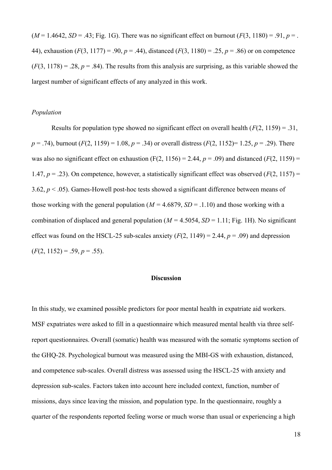$(M = 1.4642, SD = .43; Fig. 1G)$ . There was no significant effect on burnout  $(F(3, 1180) = .91, p = .$ 44), exhaustion (*F*(3, 1177) = .90, *p* = .44), distanced (*F*(3, 1180) = .25, *p* = .86) or on competence  $(F(3, 1178) = .28, p = .84)$ . The results from this analysis are surprising, as this variable showed the largest number of significant effects of any analyzed in this work.

### *Population*

Results for population type showed no significant effect on overall health (*F*(2, 1159) = .31, *p* = .74), burnout (*F*(2, 1159) = 1.08, *p* = .34) or overall distress (*F*(2, 1152)= 1.25, *p* = .29). There was also no significant effect on exhaustion  $(F(2, 1156) = 2.44, p = .09)$  and distanced  $(F(2, 1159) =$ 1.47,  $p = 0.23$ ). On competence, however, a statistically significant effect was observed ( $F(2, 1157) =$ 3.62, *p* < .05). Games-Howell post-hoc tests showed a significant difference between means of those working with the general population ( $M = 4.6879$ ,  $SD = .1.10$ ) and those working with a combination of displaced and general population ( $M = 4.5054$ ,  $SD = 1.11$ ; Fig. 1H). No significant effect was found on the HSCL-25 sub-scales anxiety  $(F(2, 1149) = 2.44, p = .09)$  and depression  $(F(2, 1152) = .59, p = .55)$ .

# **Discussion**

In this study, we examined possible predictors for poor mental health in expatriate aid workers. MSF expatriates were asked to fill in a questionnaire which measured mental health via three selfreport questionnaires. Overall (somatic) health was measured with the somatic symptoms section of the GHQ-28. Psychological burnout was measured using the MBI-GS with exhaustion, distanced, and competence sub-scales. Overall distress was assessed using the HSCL-25 with anxiety and depression sub-scales. Factors taken into account here included context, function, number of missions, days since leaving the mission, and population type. In the questionnaire, roughly a quarter of the respondents reported feeling worse or much worse than usual or experiencing a high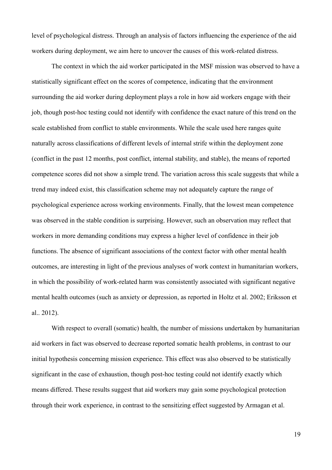level of psychological distress. Through an analysis of factors influencing the experience of the aid workers during deployment, we aim here to uncover the causes of this work-related distress.

The context in which the aid worker participated in the MSF mission was observed to have a statistically significant effect on the scores of competence, indicating that the environment surrounding the aid worker during deployment plays a role in how aid workers engage with their job, though post-hoc testing could not identify with confidence the exact nature of this trend on the scale established from conflict to stable environments. While the scale used here ranges quite naturally across classifications of different levels of internal strife within the deployment zone (conflict in the past 12 months, post conflict, internal stability, and stable), the means of reported competence scores did not show a simple trend. The variation across this scale suggests that while a trend may indeed exist, this classification scheme may not adequately capture the range of psychological experience across working environments. Finally, that the lowest mean competence was observed in the stable condition is surprising. However, such an observation may reflect that workers in more demanding conditions may express a higher level of confidence in their job functions. The absence of significant associations of the context factor with other mental health outcomes, are interesting in light of the previous analyses of work context in humanitarian workers, in which the possibility of work-related harm was consistently associated with significant negative mental health outcomes (such as anxiety or depression, as reported in Holtz et al. 2002; Eriksson et al.. 2012).

With respect to overall (somatic) health, the number of missions undertaken by humanitarian aid workers in fact was observed to decrease reported somatic health problems, in contrast to our initial hypothesis concerning mission experience. This effect was also observed to be statistically significant in the case of exhaustion, though post-hoc testing could not identify exactly which means differed. These results suggest that aid workers may gain some psychological protection through their work experience, in contrast to the sensitizing effect suggested by Armagan et al.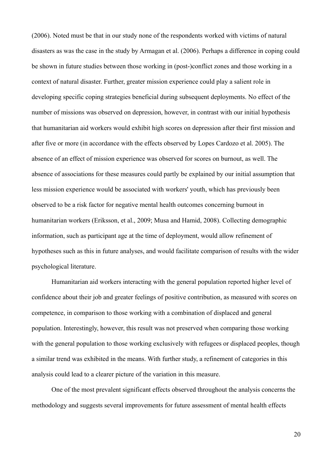(2006). Noted must be that in our study none of the respondents worked with victims of natural disasters as was the case in the study by Armagan et al. (2006). Perhaps a difference in coping could be shown in future studies between those working in (post-)conflict zones and those working in a context of natural disaster. Further, greater mission experience could play a salient role in developing specific coping strategies beneficial during subsequent deployments. No effect of the number of missions was observed on depression, however, in contrast with our initial hypothesis that humanitarian aid workers would exhibit high scores on depression after their first mission and after five or more (in accordance with the effects observed by Lopes Cardozo et al. 2005). The absence of an effect of mission experience was observed for scores on burnout, as well. The absence of associations for these measures could partly be explained by our initial assumption that less mission experience would be associated with workers' youth, which has previously been observed to be a risk factor for negative mental health outcomes concerning burnout in humanitarian workers (Eriksson, et al., 2009; Musa and Hamid, 2008). Collecting demographic information, such as participant age at the time of deployment, would allow refinement of hypotheses such as this in future analyses, and would facilitate comparison of results with the wider psychological literature.

Humanitarian aid workers interacting with the general population reported higher level of confidence about their job and greater feelings of positive contribution, as measured with scores on competence, in comparison to those working with a combination of displaced and general population. Interestingly, however, this result was not preserved when comparing those working with the general population to those working exclusively with refugees or displaced peoples, though a similar trend was exhibited in the means. With further study, a refinement of categories in this analysis could lead to a clearer picture of the variation in this measure.

One of the most prevalent significant effects observed throughout the analysis concerns the methodology and suggests several improvements for future assessment of mental health effects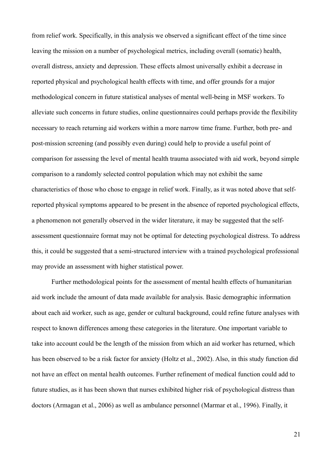from relief work. Specifically, in this analysis we observed a significant effect of the time since leaving the mission on a number of psychological metrics, including overall (somatic) health, overall distress, anxiety and depression. These effects almost universally exhibit a decrease in reported physical and psychological health effects with time, and offer grounds for a major methodological concern in future statistical analyses of mental well-being in MSF workers. To alleviate such concerns in future studies, online questionnaires could perhaps provide the flexibility necessary to reach returning aid workers within a more narrow time frame. Further, both pre- and post-mission screening (and possibly even during) could help to provide a useful point of comparison for assessing the level of mental health trauma associated with aid work, beyond simple comparison to a randomly selected control population which may not exhibit the same characteristics of those who chose to engage in relief work. Finally, as it was noted above that selfreported physical symptoms appeared to be present in the absence of reported psychological effects, a phenomenon not generally observed in the wider literature, it may be suggested that the selfassessment questionnaire format may not be optimal for detecting psychological distress. To address this, it could be suggested that a semi-structured interview with a trained psychological professional may provide an assessment with higher statistical power.

Further methodological points for the assessment of mental health effects of humanitarian aid work include the amount of data made available for analysis. Basic demographic information about each aid worker, such as age, gender or cultural background, could refine future analyses with respect to known differences among these categories in the literature. One important variable to take into account could be the length of the mission from which an aid worker has returned, which has been observed to be a risk factor for anxiety (Holtz et al., 2002). Also, in this study function did not have an effect on mental health outcomes. Further refinement of medical function could add to future studies, as it has been shown that nurses exhibited higher risk of psychological distress than doctors (Armagan et al., 2006) as well as ambulance personnel (Marmar et al., 1996). Finally, it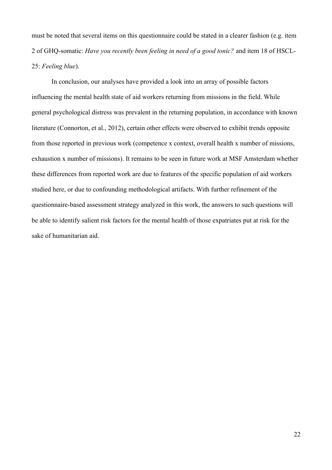must be noted that several items on this questionnaire could be stated in a clearer fashion (e.g. item 2 of GHQ-somatic: *Have you recently been feeling in need of a good tonic?* and item 18 of HSCL-25: *Feeling blue*).

In conclusion, our analyses have provided a look into an array of possible factors influencing the mental health state of aid workers returning from missions in the field. While general psychological distress was prevalent in the returning population, in accordance with known literature (Connorton, et al., 2012), certain other effects were observed to exhibit trends opposite from those reported in previous work (competence x context, overall health x number of missions, exhaustion x number of missions). It remains to be seen in future work at MSF Amsterdam whether these differences from reported work are due to features of the specific population of aid workers studied here, or due to confounding methodological artifacts. With further refinement of the questionnaire-based assessment strategy analyzed in this work, the answers to such questions will be able to identify salient risk factors for the mental health of those expatriates put at risk for the sake of humanitarian aid.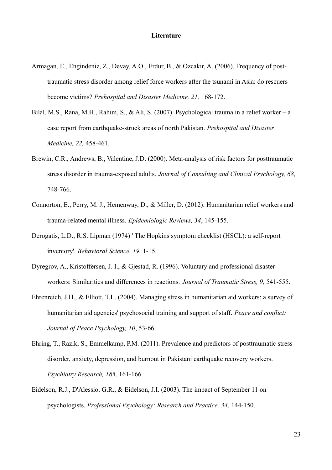- Armagan, E., Engindeniz, Z., Devay, A.O., Erdur, B., & Ozcakir, A. (2006). Frequency of posttraumatic stress disorder among relief force workers after the tsunami in Asia: do rescuers become victims? *Prehospital and Disaster Medicine, 21,* 168-172.
- Bilal, M.S., Rana, M.H., Rahim, S., & Ali, S. (2007). Psychological trauma in a relief worker a case report from earthquake-struck areas of north Pakistan. *Prehospital and Disaster Medicine, 22,* 458-461.
- Brewin, C.R., Andrews, B., Valentine, J.D. (2000). Meta-analysis of risk factors for posttraumatic stress disorder in trauma-exposed adults. *Journal of Consulting and Clinical Psychology, 68,*  748-766.
- Connorton, E., Perry, M. J., Hemenway, D., & Miller, D. (2012). Humanitarian relief workers and trauma-related mental illness. *Epidemiologic Reviews, 34*, 145-155.
- Derogatis, L.D., R.S. Lipman (1974) ' The Hopkins symptom checklist (HSCL): a self-report inventory'. *Behavioral Science. 19.* 1-15.
- Dyregrov, A., Kristoffersen, J. I., & Gjestad, R. (1996). Voluntary and professional disasterworkers: Similarities and differences in reactions. *Journal of Traumatic Stress, 9,* 541-555.
- Ehrenreich, J.H., & Elliott, T.L. (2004). Managing stress in humanitarian aid workers: a survey of humanitarian aid agencies' psychosocial training and support of staff. *Peace and conflict: Journal of Peace Psychology, 10*, 53-66.
- Ehring, T., Razik, S., Emmelkamp, P.M. (2011). Prevalence and predictors of posttraumatic stress disorder, anxiety, depression, and burnout in Pakistani earthquake recovery workers. *Psychiatry Research, 185,* 161-166
- Eidelson, R.J., D'Alessio, G.R., & Eidelson, J.I. (2003). The impact of September 11 on psychologists. *Professional Psychology: Research and Practice, 34,* 144-150.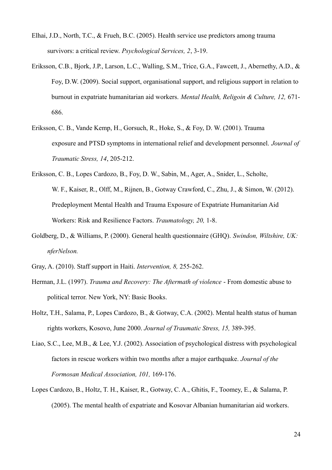- Elhai, J.D., North, T.C., & Frueh, B.C. (2005). Health service use predictors among trauma survivors: a critical review. *Psychological Services, 2*, 3-19.
- Eriksson, C.B., Bjork, J.P., Larson, L.C., Walling, S.M., Trice, G.A., Fawcett, J., Abernethy, A.D., & Foy, D.W. (2009). Social support, organisational support, and religious support in relation to burnout in expatriate humanitarian aid workers. *Mental Health, Religoin & Culture, 12,* 671- 686.
- Eriksson, C. B., Vande Kemp, H., Gorsuch, R., Hoke, S., & Foy, D. W. (2001). Trauma exposure and PTSD symptoms in international relief and development personnel. *Journal of Traumatic Stress, 14*, 205-212.
- Eriksson, C. B., Lopes Cardozo, B., Foy, D. W., Sabin, M., Ager, A., Snider, L., Scholte, W. F., Kaiser, R., Olff, M., Rijnen, B., Gotway Crawford, C., Zhu, J., & Simon, W. (2012). Predeployment Mental Health and Trauma Exposure of Expatriate Humanitarian Aid Workers: Risk and Resilience Factors. *Traumatology, 20,* 1-8.
- Goldberg, D., & Williams, P. (2000). General health questionnaire (GHQ). *Swindon, Wiltshire, UK: nferNelson.*
- Gray, A. (2010). Staff support in Haiti. *Intervention, 8,* 255-262.
- Herman, J.L. (1997). *Trauma and Recovery: The Aftermath of violence* From domestic abuse to political terror. New York, NY: Basic Books.
- Holtz, T.H., Salama, P., Lopes Cardozo, B., & Gotway, C.A. (2002). Mental health status of human rights workers, Kosovo, June 2000. *Journal of Traumatic Stress, 15,* 389-395.
- Liao, S.C., Lee, M.B., & Lee, Y.J. (2002). Association of psychological distress with psychological factors in rescue workers within two months after a major earthquake. *Journal of the Formosan Medical Association, 101,* 169-176.
- Lopes Cardozo, B., Holtz, T. H., Kaiser, R., Gotway, C. A., Ghitis, F., Toomey, E., & Salama, P. (2005). The mental health of expatriate and Kosovar Albanian humanitarian aid workers.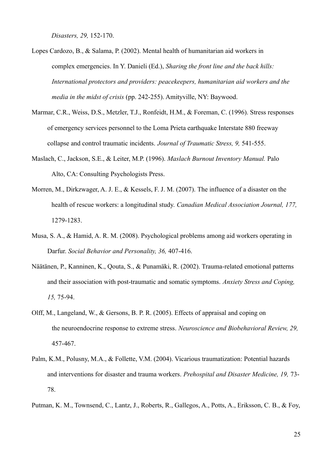*Disasters, 29,* 152-170.

- Lopes Cardozo, B., & Salama, P. (2002). Mental health of humanitarian aid workers in complex emergencies. In Y. Danieli (Ed.), *Sharing the front line and the back hills: International protectors and providers: peacekeepers, humanitarian aid workers and the media in the midst of crisis* (pp. 242-255). Amityville, NY: Baywood.
- Marmar, C.R., Weiss, D.S., Metzler, T.J., Ronfeidt, H.M., & Foreman, C. (1996). Stress responses of emergency services personnel to the Loma Prieta earthquake Interstate 880 freeway collapse and control traumatic incidents. *Journal of Traumatic Stress, 9,* 541-555.
- Maslach, C., Jackson, S.E., & Leiter, M.P. (1996). *Maslach Burnout Inventory Manual.* Palo Alto, CA: Consulting Psychologists Press.
- Morren, M., Dirkzwager, A. J. E., & Kessels, F. J. M. (2007). The influence of a disaster on the health of rescue workers: a longitudinal study. *Canadian Medical Association Journal, 177,*  1279-1283.
- Musa, S. A., & Hamid, A. R. M. (2008). Psychological problems among aid workers operating in Darfur. *Social Behavior and Personality, 36,* 407-416.
- Näätänen, P., Kanninen, K., Qouta, S., & Punamäki, R. (2002). Trauma-related emotional patterns and their association with post-traumatic and somatic symptoms. *Anxiety Stress and Coping, 15,* 75-94.
- Olff, M., Langeland, W., & Gersons, B. P. R. (2005). Effects of appraisal and coping on the neuroendocrine response to extreme stress. *Neuroscience and Biobehavioral Review, 29,* 457-467.
- Palm, K.M., Polusny, M.A., & Follette, V.M. (2004). Vicarious traumatization: Potential hazards and interventions for disaster and trauma workers. *Prehospital and Disaster Medicine, 19,* 73- 78.
- Putman, K. M., Townsend, C., Lantz, J., Roberts, R., Gallegos, A., Potts, A., Eriksson, C. B., & Foy,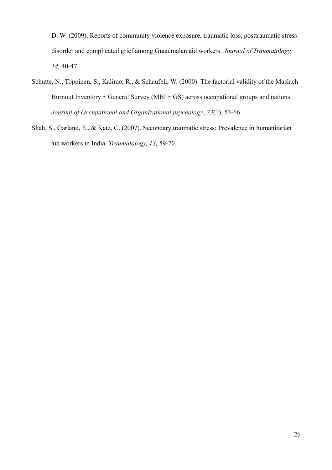D. W. (2009). Reports of community violence exposure, traumatic loss, posttraumatic stress disorder and complicated grief among Guatemalan aid workers. *Journal of Traumatology, 14,* 40-47.

- Schutte, N., Toppinen, S., Kalimo, R., & Schaufeli, W. (2000). The factorial validity of the Maslach Burnout Inventory - General Survey (MBI - GS) across occupational groups and nations. *Journal of Occupational and Organizational psychology*, *73*(1), 53-66.
- Shah, S., Garland, E., & Katz, C. (2007). Secondary traumatic stress: Prevalence in humanitarian aid workers in India. *Traumatology, 13,* 59-70.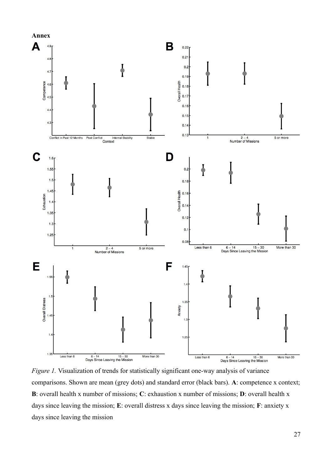

*Figure 1.* Visualization of trends for statistically significant one-way analysis of variance comparisons. Shown are mean (grey dots) and standard error (black bars). **A**: competence x context; **B**: overall health x number of missions; **C**: exhaustion x number of missions; **D**: overall health x days since leaving the mission; **E**: overall distress x days since leaving the mission; **F**: anxiety x days since leaving the mission